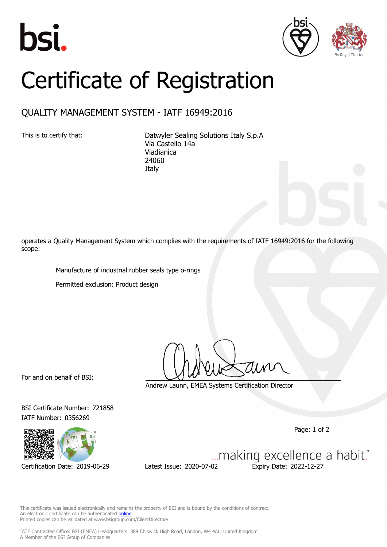





## Certificate of Registration

## QUALITY MANAGEMENT SYSTEM - IATF 16949:2016

This is to certify that: Datwyler Sealing Solutions Italy S.p.A Via Castello 14a Viadianica 24060 Italy

operates a Quality Management System which complies with the requirements of IATF 16949:2016 for the following scope:

Manufacture of industrial rubber seals type o-rings

Permitted exclusion: Product design

For and on behalf of BSI:

IATF Number: 0356269

Andrew Launn, EMEA Systems Certification Director

Page: 1 of 2



Certification Date: 2019-06-29 Latest Issue: 2020-07-02 Expiry Date: 2022-12-27

BSI Certificate Number: 721858

... making excellence a habit."

This certificate was issued electronically and remains the property of BSI and is bound by the conditions of contract. An electronic certificate can be authenticated **[online](https://pgplus.bsigroup.com/CertificateValidation/CertificateValidator.aspx?CertificateNumber=TS+721858&ReIssueDate=02%2f07%2f2020&Template=cemea_en)** Printed copies can be validated at www.bsigroup.com/ClientDirectory

IATF Contracted Office: BSI (EMEA) Headquarters: 389 Chiswick High Road, London, W4 4AL, United Kingdom A Member of the BSI Group of Companies.